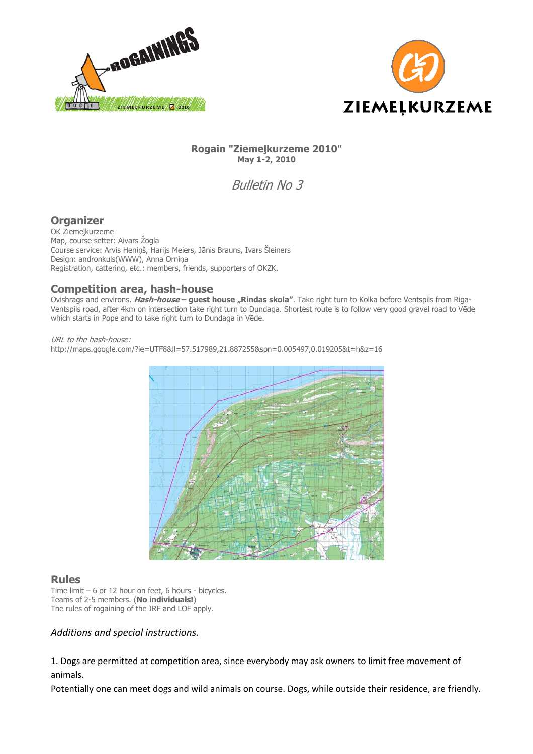



### **Rogain "Ziemeļkurzeme 2010" May 1-2, 2010**

Bulletin No 3

# **Organizer**

OK Ziemeļkurzeme Map, course setter: Aivars Žogla Course service: Arvis Heniņš, Harijs Meiers, Jānis Brauns, Ivars Šleiners Design: andronkuls(WWW), Anna Orniņa Registration, cattering, etc.: members, friends, supporters of OKZK.

# **Competition area, hash-house**

Ovishrags and environs. Hash-house - guest house "Rindas skola". Take right turn to Kolka before Ventspils from Riga-Ventspils road, after 4km on intersection take right turn to Dundaga. Shortest route is to follow very good gravel road to Vēde which starts in Pope and to take right turn to Dundaga in Vēde.

URL to the hash-house: http://maps.google.com/?ie=UTF8&ll=57.517989,21.887255&spn=0.005497,0.019205&t=h&z=16



### **Rules**

Time limit – 6 or 12 hour on feet, 6 hours - bicycles. Teams of 2-5 members. (**No individuals!**) The rules of rogaining of the IRF and LOF apply.

### *Additions and special instructions.*

1. Dogs are permitted at competition area, since everybody may ask owners to limit free movement of animals.

Potentially one can meet dogs and wild animals on course. Dogs, while outside their residence, are friendly.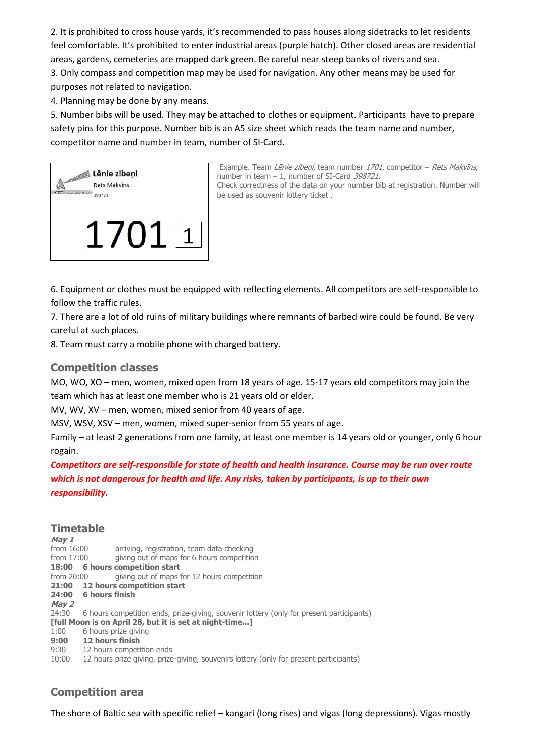2. It is prohibited to cross house yards, it's recommended to pass houses along sidetracks to let residents feel comfortable. It's prohibited to enter industrial areas (purple hatch). Other closed areas are residential areas, gardens, cemeteries are mapped dark green. Be careful near steep banks of rivers and sea.

3. Only compass and competition map may be used for navigation. Any other means may be used for purposes not related to navigation.

4. Planning may be done by any means.

5. Number bibs will be used. They may be attached to clothes or equipment. Participants have to prepare safety pins for this purpose. Number bib is an A5 size sheet which reads the team name and number, competitor name and number in team, number of SI-Card.



Example. Team Lenie zibeņi, team number 1701, competitor - Rets Makvins, number in team  $-1$ , number of SI-Card 398721. Check correctness of the data on your number bib at registration. Number will be used as souvenir lottery ticket .

6. Equipment or clothes must be equipped with reflecting elements. All competitors are self-responsible to follow the traffic rules.

7. There are a lot of old ruins of military buildings where remnants of barbed wire could be found. Be very careful at such places.

8. Team must carry a mobile phone with charged battery.

## **Competition classes**

MO, WO, XO – men, women, mixed open from 18 years of age. 15-17 years old competitors may join the team which has at least one member who is 21 years old or elder.

MV, WV, XV – men, women, mixed senior from 40 years of age.

MSV, WSV, XSV – men, women, mixed super-senior from 55 years of age.

Family – at least 2 generations from one family, at least one member is 14 years old or younger, only 6 hour rogain.

*Competitors are self-responsible for state of health and health insurance. Course may be run over route which is not dangerous for health and life. Any risks, taken by participants, is up to their own responsibility.* 

## **Timetable**

**May 1**  from 16:00 arriving, registration, team data checking from 17:00 giving out of maps for 6 hours competition **18:00 6 hours competition start**  from 20:00 giving out of maps for 12 hours competition **21:00 12 hours competition start 24:00 6 hours finish May 2**  24:30 6 hours competition ends, prize-giving, souvenir lottery (only for present participants) **[full Moon is on April 28, but it is set at night-time...]** 1:00 6 hours prize giving **9:00 12 hours finish**  9:30 12 hours competition ends 10:00 12 hours prize giving, prize-giving, souvenirs lottery (only for present participants)

# **Competition area**

The shore of Baltic sea with specific relief – kangari (long rises) and vigas (long depressions). Vigas mostly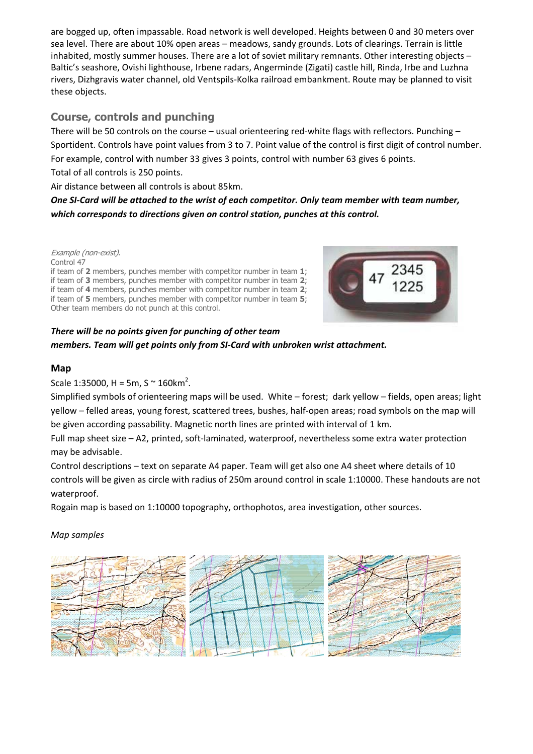are bogged up, often impassable. Road network is well developed. Heights between 0 and 30 meters over sea level. There are about 10% open areas – meadows, sandy grounds. Lots of clearings. Terrain is little inhabited, mostly summer houses. There are a lot of soviet military remnants. Other interesting objects – Baltic's seashore, Ovishi lighthouse, Irbene radars, Angerminde (Zigati) castle hill, Rinda, Irbe and Luzhna rivers, Dizhgravis water channel, old Ventspils-Kolka railroad embankment. Route may be planned to visit these objects.

# **Course, controls and punching**

There will be 50 controls on the course – usual orienteering red-white flags with reflectors. Punching – Sportident. Controls have point values from 3 to 7. Point value of the control is first digit of control number. For example, control with number 33 gives 3 points, control with number 63 gives 6 points. Total of all controls is 250 points.

Air distance between all controls is about 85km.

*One SI-Card will be attached to the wrist of each competitor. Only team member with team number, which corresponds to directions given on control station, punches at this control.* 

Example (non-exist).

Control 47 if team of **2** members, punches member with competitor number in team **1**; if team of **3** members, punches member with competitor number in team **2**; if team of **4** members, punches member with competitor number in team **2**; if team of **5** members, punches member with competitor number in team **5**; Other team members do not punch at this control.



# *There will be no points given for punching of other team members. Team will get points only from SI-Card with unbroken wrist attachment.*

## **Map**

Scale 1:35000, H = 5m, S  $\sim$  160 km<sup>2</sup>.

Simplified symbols of orienteering maps will be used. White – forest; dark yellow – fields, open areas; light yellow – felled areas, young forest, scattered trees, bushes, half-open areas; road symbols on the map will be given according passability. Magnetic north lines are printed with interval of 1 km.

Full map sheet size – A2, printed, soft-laminated, waterproof, nevertheless some extra water protection may be advisable.

Control descriptions – text on separate A4 paper. Team will get also one A4 sheet where details of 10 controls will be given as circle with radius of 250m around control in scale 1:10000. These handouts are not waterproof.

Rogain map is based on 1:10000 topography, orthophotos, area investigation, other sources.

## *Map samples*

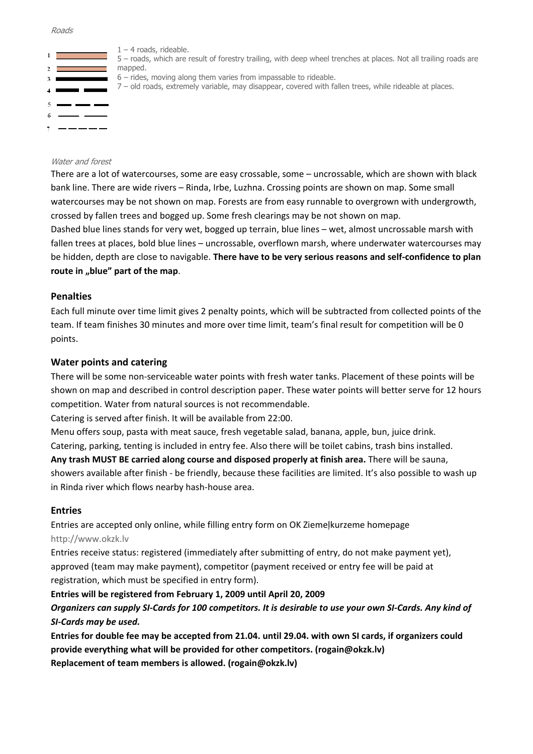#### Roads



 $1 - 4$  roads, rideable.

5 – roads, which are result of forestry trailing, with deep wheel trenches at places. Not all trailing roads are mapped.

- 6 rides, moving along them varies from impassable to rideable.
- 7 old roads, extremely variable, may disappear, covered with fallen trees, while rideable at places.

#### Water and forest

There are a lot of watercourses, some are easy crossable, some – uncrossable, which are shown with black bank line. There are wide rivers – Rinda, Irbe, Luzhna. Crossing points are shown on map. Some small watercourses may be not shown on map. Forests are from easy runnable to overgrown with undergrowth, crossed by fallen trees and bogged up. Some fresh clearings may be not shown on map.

Dashed blue lines stands for very wet, bogged up terrain, blue lines – wet, almost uncrossable marsh with fallen trees at places, bold blue lines – uncrossable, overflown marsh, where underwater watercourses may be hidden, depth are close to navigable. **There have to be very serious reasons and self-confidence to plan**  route in "blue" part of the map.

### **Penalties**

Each full minute over time limit gives 2 penalty points, which will be subtracted from collected points of the team. If team finishes 30 minutes and more over time limit, team's final result for competition will be 0 points.

### **Water points and catering**

There will be some non-serviceable water points with fresh water tanks. Placement of these points will be shown on map and described in control description paper. These water points will better serve for 12 hours competition. Water from natural sources is not recommendable.

Catering is served after finish. It will be available from 22:00.

Menu offers soup, pasta with meat sauce, fresh vegetable salad, banana, apple, bun, juice drink.

Catering, parking, tenting is included in entry fee. Also there will be toilet cabins, trash bins installed.

**Any trash MUST BE carried along course and disposed properly at finish area.** There will be sauna, showers available after finish - be friendly, because these facilities are limited. It's also possible to wash up in Rinda river which flows nearby hash-house area.

### **Entries**

Entries are accepted only online, while filling entry form on OK Ziemeļkurzeme homepage http://www.okzk.lv

Entries receive status: registered (immediately after submitting of entry, do not make payment yet), approved (team may make payment), competitor (payment received or entry fee will be paid at registration, which must be specified in entry form).

### **Entries will be registered from February 1, 2009 until April 20, 2009**

*Organizers can supply SI-Cards for 100 competitors. It is desirable to use your own SI-Cards. Any kind of SI-Cards may be used.* 

**Entries for double fee may be accepted from 21.04. until 29.04. with own SI cards, if organizers could provide everything what will be provided for other competitors. (rogain@okzk.lv) Replacement of team members is allowed. (rogain@okzk.lv)**